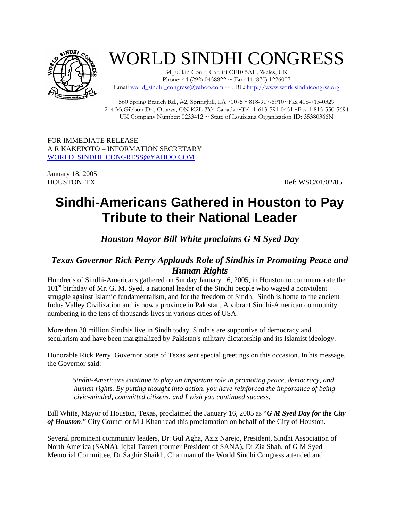

## WORLD SINDHI CONGRESS

34 Judkin Court, Cardiff CF10 5AU, Wales, UK Phone: 44 (292) 0458822 ~ Fax: 44 (870) 1226007 Email world\_sindhi\_congress@yahoo.com ~ URL: http://www.worldsindhicongrss.org

560 Spring Branch Rd., #2, Springhill, LA 71075 ~818-917-6910~Fax 408-715-0329 214 McGibbon Dr., Ottawa, ON K2L-3Y4 Canada ~Tel 1-613-591-0451~Fax 1-815-550-5694 UK Company Number:  $0233412 \sim$  State of Louisiana Organization ID: 35380366N

FOR IMMEDIATE RELEASE A R KAKEPOTO – INFORMATION SECRETARY WORLD\_SINDHI\_CONGRESS@YAHOO.COM

January 18, 2005

HOUSTON, TX Ref: WSC/01/02/05

## **Sindhi-Americans Gathered in Houston to Pay Tribute to their National Leader**

*Houston Mayor Bill White proclaims G M Syed Day* 

## *Texas Governor Rick Perry Applauds Role of Sindhis in Promoting Peace and Human Rights*

Hundreds of Sindhi-Americans gathered on Sunday January 16, 2005, in Houston to commemorate the  $101<sup>st</sup>$  birthday of Mr. G. M. Syed, a national leader of the Sindhi people who waged a nonviolent struggle against Islamic fundamentalism, and for the freedom of Sindh. Sindh is home to the ancient Indus Valley Civilization and is now a province in Pakistan. A vibrant Sindhi-American community numbering in the tens of thousands lives in various cities of USA.

More than 30 million Sindhis live in Sindh today. Sindhis are supportive of democracy and secularism and have been marginalized by Pakistan's military dictatorship and its Islamist ideology.

Honorable Rick Perry, Governor State of Texas sent special greetings on this occasion. In his message, the Governor said:

 *Sindhi-Americans continue to play an important role in promoting peace, democracy, and human rights. By putting thought into action, you have reinforced the importance of being civic-minded, committed citizens, and I wish you continued success*.

Bill White, Mayor of Houston, Texas, proclaimed the January 16, 2005 as "*G M Syed Day for the City of Houston*." City Councilor M J Khan read this proclamation on behalf of the City of Houston.

Several prominent community leaders, Dr. Gul Agha, Aziz Narejo, President, Sindhi Association of North America (SANA), Iqbal Tareen (former President of SANA), Dr Zia Shah, of G M Syed Memorial Committee, Dr Saghir Shaikh, Chairman of the World Sindhi Congress attended and